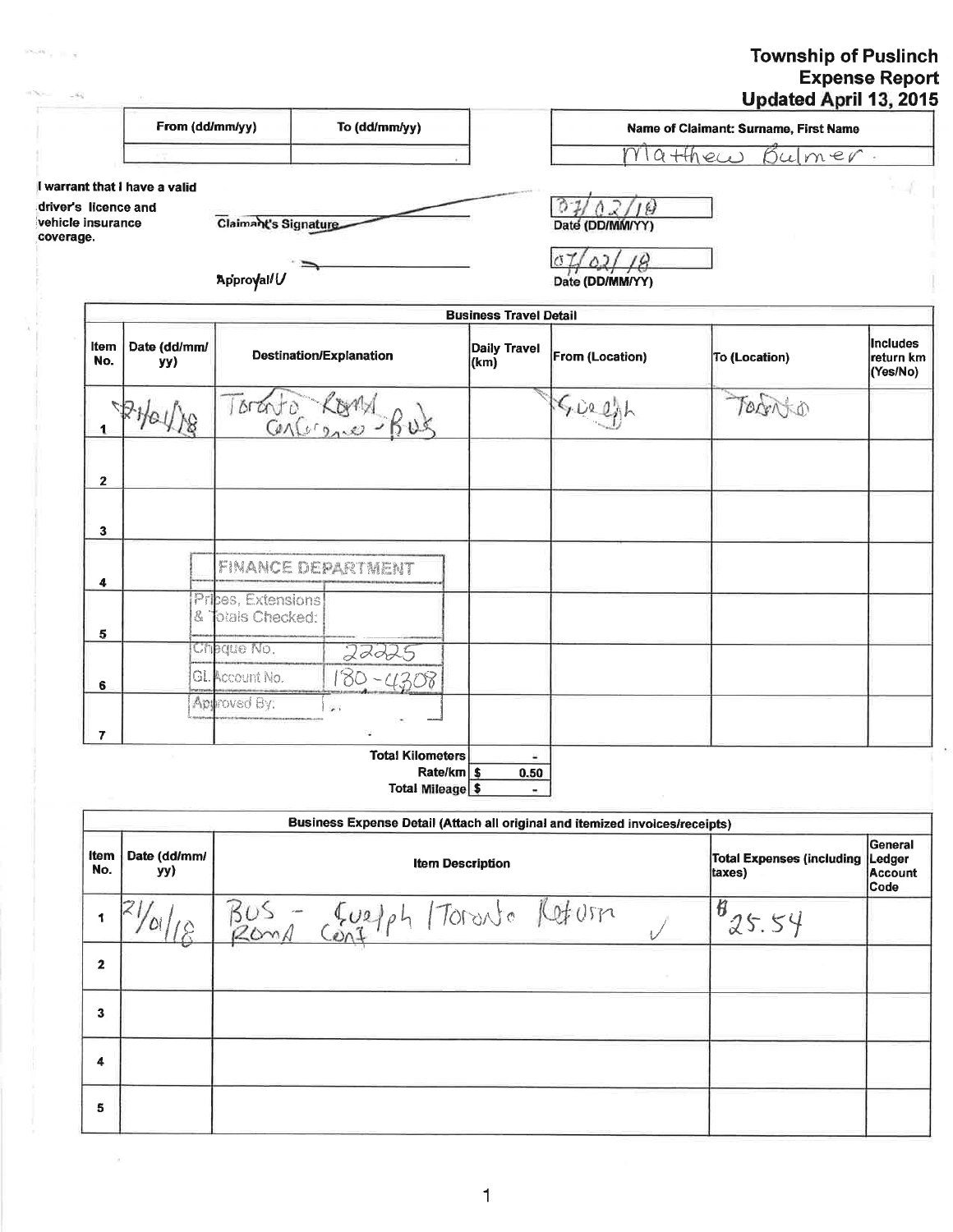# Township of Puslinch<br>Expense Report<br>Updated April 13, 2015

|                                                        | From (dd/mm/yy)               |                                              | To (dd/mm/yy)                                                                |                               |                 | Name of Claimant: Surname, First Name |                                          |
|--------------------------------------------------------|-------------------------------|----------------------------------------------|------------------------------------------------------------------------------|-------------------------------|-----------------|---------------------------------------|------------------------------------------|
|                                                        |                               |                                              |                                                                              |                               |                 | $M1a+4hecc$<br>Bulmer.                |                                          |
| driver's licence and<br>vehicle insurance<br>coverage. | I warrant that I have a valid | Claimant's Signature                         |                                                                              |                               | Date (DD/MM/YY) |                                       |                                          |
|                                                        |                               | Approyal/U                                   |                                                                              |                               | Date (DD/MM/YY) |                                       |                                          |
|                                                        |                               |                                              |                                                                              | <b>Business Travel Detail</b> |                 |                                       |                                          |
| Item<br>No.                                            | Date (dd/mm/<br>yy)           |                                              | Destination/Explanation                                                      | <b>Daily Travel</b><br>(km)   | From (Location) | <b>To (Location)</b>                  | <b>Includes</b><br>return km<br>(Yes/No) |
| 1                                                      | 2HOUNS                        | Toranto Kogna                                |                                                                              |                               | 5029            | TORTATIO                              |                                          |
| $\mathbf{2}$                                           |                               |                                              |                                                                              |                               |                 |                                       |                                          |
| 3                                                      |                               |                                              |                                                                              |                               |                 |                                       |                                          |
| 4                                                      |                               | <b>FINANCE DEPARTMENT</b>                    |                                                                              |                               |                 |                                       |                                          |
| 5                                                      | Ł,                            | Prices, Extensions<br><b>Jotals Checked:</b> |                                                                              |                               |                 |                                       |                                          |
| 6                                                      |                               | Cheque No.<br>GL Account No.                 | 22225<br>$180 - 4308$                                                        |                               |                 |                                       |                                          |
| $\overline{7}$                                         |                               | Approved By:                                 |                                                                              |                               |                 |                                       |                                          |
|                                                        |                               |                                              | <b>Total Kilometers</b><br>Rate/km \$<br><b>Total Mileage \$</b>             | $\omega$<br>0.50              |                 |                                       |                                          |
|                                                        |                               |                                              |                                                                              |                               |                 |                                       |                                          |
|                                                        |                               |                                              | Business Expense Detail (Attach all original and itemized invoices/receipts) |                               |                 |                                       | General                                  |
| ltem<br>Me <sub>n</sub>                                | Date (dd/mm/<br>              |                                              |                                                                              | <b>Item Description</b>       |                 | <b>Total Expenses (including</b>      | Ledger                                   |

| <sub>I</sub><br>No. | yy) | Item Description      | Ing repenses funitainal reader<br>taxes) | Account<br>Code |
|---------------------|-----|-----------------------|------------------------------------------|-----------------|
|                     |     | Contph Foranto Reform | 钌<br>っト                                  |                 |
| $\mathbf{2}$        |     |                       |                                          |                 |
| 3                   |     |                       |                                          |                 |
| 4                   |     |                       |                                          |                 |
| 5                   |     |                       |                                          |                 |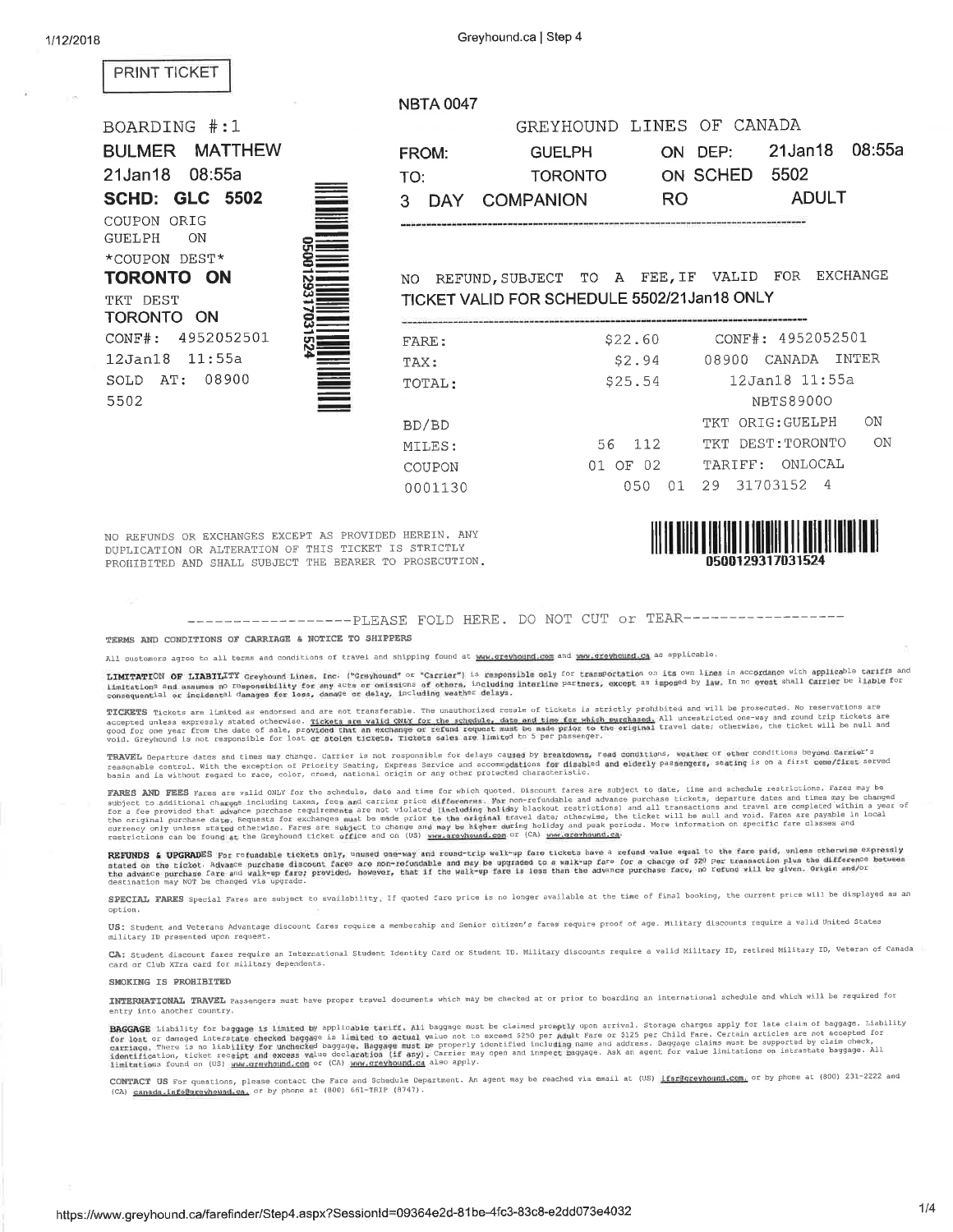**NBTA 0047** 

### **PRINT TICKET**

## BOARDING #:1 **BULMER MATTHEW** 21Jan18 08:55a **SCHD: GLC 5502** COUPON ORIG **GUELPH** ON \*COUPON DEST\* **TORONTO ON** TKT DEST TORONTO ON CONF#: 4952052501 12Jan18 11:55a SOLD AT: 08900 5502



|     |       |                 | GREYHOUND LINES OF CANADA |                          |
|-----|-------|-----------------|---------------------------|--------------------------|
|     | FROM: | <b>GUELPH</b>   |                           | ON DEP: 21 Jan 18 08:55a |
| TO: |       | <b>TORONTO</b>  | ON SCHED 5502             |                          |
|     |       | 3 DAY COMPANION | RO.                       | <b>ADULT</b>             |
|     |       |                 |                           |                          |

NO REFUND, SUBJECT TO A FEE, IF VALID FOR EXCHANGE TICKET VALID FOR SCHEDULE 5502/21Jan18 ONLY

| FARE:   | \$22.60                | CONF#: 4952052501             |
|---------|------------------------|-------------------------------|
| TAX:    | \$2.94                 | TNTER<br>CANADA<br>08900      |
| TOTAL:  | \$25.54                | 12Jan18 11:55a                |
|         |                        | <b>NBTS89000</b>              |
| BD/BD   |                        | $\bigcirc$<br>TKT ORIG:GUELPH |
| MILES:  | 112<br>56.             | ON<br>TKT DEST:TORONTO        |
| COUPON  | OF <sub>02</sub><br>01 | TARIFF: ONLOCAL               |
| 0001130 | 050                    | 31703152 4<br>29              |
|         |                        |                               |

NO REFUNDS OR EXCHANGES EXCEPT AS PROVIDED HEREIN. ANY DUPLICATION OR ALTERATION OF THIS TICKET IS STRICTLY PROHIBITED AND SHALL SUBJECT THE BEARER TO PROSECUTION.



------------------PLEASE FOLD HERE. DO NOT CUT Or TEAR--------------

#### TERMS AND CONDITIONS OF CARRIAGE & NOTICE TO SHIPPERS

All customers agree to all terms and conditions of travel and shipping found at waw.gravheund.com and waw.gravheund.com as applicable.

LIMITATION OF LIABILITY Greyhound Lines, Inc. ("Greyhound" or "Carrier") is responsible only for transportation on its own lines in accordance with applicable tariffs and MANAGEMENT OF MARMANALL USTRUMING AND TOTALS OF ORIGINISTS OF ORDER, INCLUDING DREAM OF THE CONSUMER OF THE CONSUMING THE SERVICE OF STATES OF THE CONSUMER OF THE CONSUMING THE UNIT OF THE CONSUMING THE UNIT OF THE CONSUME

TICKETS Tickets are limited as endorsed and are not transferable. The unauthorized resale of tickets is strictly prohibited and will be prosecuted. No reservations are as contain inverse are imated as endorsed and are not transierable. The madunorized resule of threes is strictly pronubited unestricted one-way and round trip tickets are represented one-way and round trip tickets are good

TRAVEL Departure dates and times may change. Carrier is not responsible for delays caused by breakdowns, road conditions, weather or other conditions beyond Carrier's<br>reasonable control. With the exception of Priority Seat

FARES AND FEES Fares are valid ONLY for the schedule, date and time for which quoted. Discount fares are subject to date, time and schedule restrictions. Fares may be subject to additional charges including taxes, fees and

REFUNDS & UPGRADES For refundable tickets only, unused one-way and round-trip walk-up fare tickets have a refund value equal to the fare paid, unless otherwise expressly<br>stated on the ticket. Advance purchase discount fare

SPECIAL FARES Special Fares are subject to availability. If quoted fare price is no longer available at the time of final booking, the current price will be displayed as an option.

US: Student and Veterans Advantage discount fares require a membership and Senior citizen's fares require proof of age. Military discounts require a valid United States military ID presented upon request

CA: Student discount fares require an International Student Identity Card or Student ID. Military discounts require a valid Military ID, retired Military ID, Veteran of Canada card or Club XTra card for military dependents.

#### SMOKING IS PROHIBITED

INTERNATIONAL TRAVEL Passengers must have proper travel documents which may be checked at or prior to boarding an international schedule and which will be required for entry into another country.

**BAGGAGE** Liability for begaage is limited by applicable tariff. All baggage must be claimed promptly upon arrival. Storage charges apply for late claim of baggage. Liability for loat or damaged interstate checked baggage

CONTACT US For questions, please contact the Fare and Schedule Department. An agent may be reached via email at (US) ifaredarevhound.com, or by phone at (800) 231-2222 and (CA) canada.info@grevhound.ca, or by phone at (800) 661-TRIP (8747).